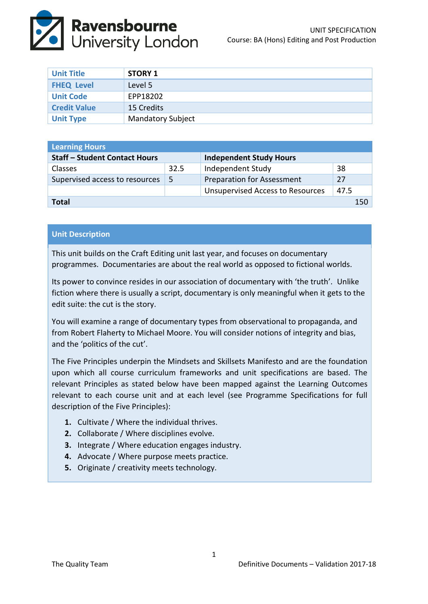

| <b>Unit Title</b>   | <b>STORY 1</b>           |
|---------------------|--------------------------|
| <b>FHEQ Level</b>   | Level 5                  |
| <b>Unit Code</b>    | EPP18202                 |
| <b>Credit Value</b> | 15 Credits               |
| <b>Unit Type</b>    | <b>Mandatory Subject</b> |

| <b>Learning Hours</b>                |      |                                         |      |  |
|--------------------------------------|------|-----------------------------------------|------|--|
| <b>Staff - Student Contact Hours</b> |      | <b>Independent Study Hours</b>          |      |  |
| <b>Classes</b>                       | 32.5 | Independent Study                       | 38   |  |
| Supervised access to resources       | -5   | <b>Preparation for Assessment</b>       | 27   |  |
|                                      |      | <b>Unsupervised Access to Resources</b> | 47.5 |  |
| Total                                |      |                                         | 150  |  |

## **Unit Description**

This unit builds on the Craft Editing unit last year, and focuses on documentary programmes. Documentaries are about the real world as opposed to fictional worlds.

Its power to convince resides in our association of documentary with 'the truth'. Unlike fiction where there is usually a script, documentary is only meaningful when it gets to the edit suite: the cut is the story.

You will examine a range of documentary types from observational to propaganda, and from Robert Flaherty to Michael Moore. You will consider notions of integrity and bias, and the 'politics of the cut'.

The Five Principles underpin the Mindsets and Skillsets Manifesto and are the foundation upon which all course curriculum frameworks and unit specifications are based. The relevant Principles as stated below have been mapped against the Learning Outcomes relevant to each course unit and at each level (see Programme Specifications for full description of the Five Principles):

- **1.** Cultivate / Where the individual thrives.
- **2.** Collaborate / Where disciplines evolve.
- **3.** Integrate / Where education engages industry.
- **4.** Advocate / Where purpose meets practice.
- **5.** Originate / creativity meets technology.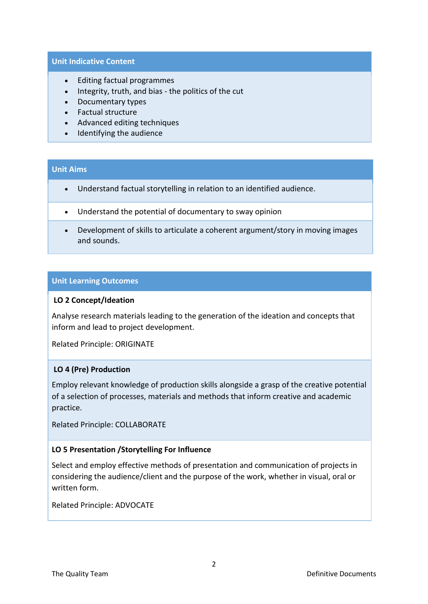#### **Unit Indicative Content**

- Editing factual programmes
- Integrity, truth, and bias the politics of the cut
- Documentary types
- Factual structure
- Advanced editing techniques
- Identifying the audience

# **Unit Aims**

- Understand factual storytelling in relation to an identified audience.
- Understand the potential of documentary to sway opinion
- Development of skills to articulate a coherent argument/story in moving images and sounds.

#### **Unit Learning Outcomes**

#### **LO 2 Concept/Ideation**

Analyse research materials leading to the generation of the ideation and concepts that inform and lead to project development.

Related Principle: ORIGINATE

## **LO 4 (Pre) Production**

Employ relevant knowledge of production skills alongside a grasp of the creative potential of a selection of processes, materials and methods that inform creative and academic practice.

Related Principle: COLLABORATE

## **LO 5 Presentation /Storytelling For Influence**

Select and employ effective methods of presentation and communication of projects in considering the audience/client and the purpose of the work, whether in visual, oral or written form.

Related Principle: ADVOCATE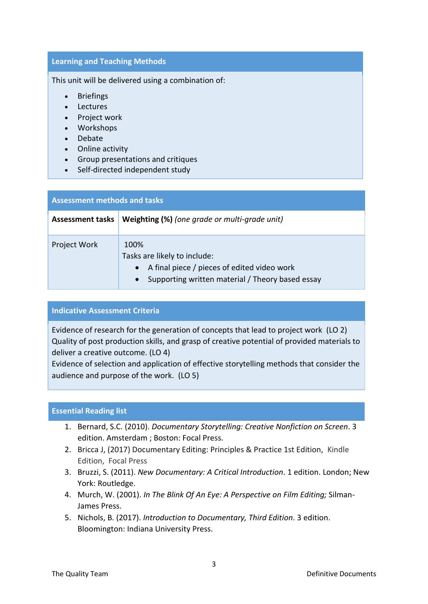## **Learning and Teaching Methods**

This unit will be delivered using a combination of:

- Briefings
- Lectures
- Project work
- Workshops
- Debate
- Online activity
- Group presentations and critiques
- Self-directed independent study

| <b>Assessment methods and tasks</b> |                                                                                                                                                      |  |  |
|-------------------------------------|------------------------------------------------------------------------------------------------------------------------------------------------------|--|--|
| <b>Assessment tasks</b>             | Weighting (%) (one grade or multi-grade unit)                                                                                                        |  |  |
| Project Work                        | 100%<br>Tasks are likely to include:<br>A final piece / pieces of edited video work<br>Supporting written material / Theory based essay<br>$\bullet$ |  |  |

## **Indicative Assessment Criteria**

Evidence of research for the generation of concepts that lead to project work (LO 2) Quality of post production skills, and grasp of creative potential of provided materials to deliver a creative outcome. (LO 4)

Evidence of selection and application of effective storytelling methods that consider the audience and purpose of the work. (LO 5)

## **Essential Reading list**

- 1. Bernard, S.C. (2010). *Documentary Storytelling: Creative Nonfiction on Screen*. 3 edition. Amsterdam ; Boston: Focal Press.
- 2. Bricca J, (2017) Documentary Editing: Principles & Practice 1st Edition, Kindle Edition, Focal Press
- 3. Bruzzi, S. (2011). *New Documentary: A Critical Introduction*. 1 edition. London; New York: Routledge.
- 4. Murch, W. (2001). *In The Blink Of An Eye: A Perspective on Film Editing;* Silman-James Press.
- 5. Nichols, B. (2017). *Introduction to Documentary, Third Edition*. 3 edition. Bloomington: Indiana University Press.